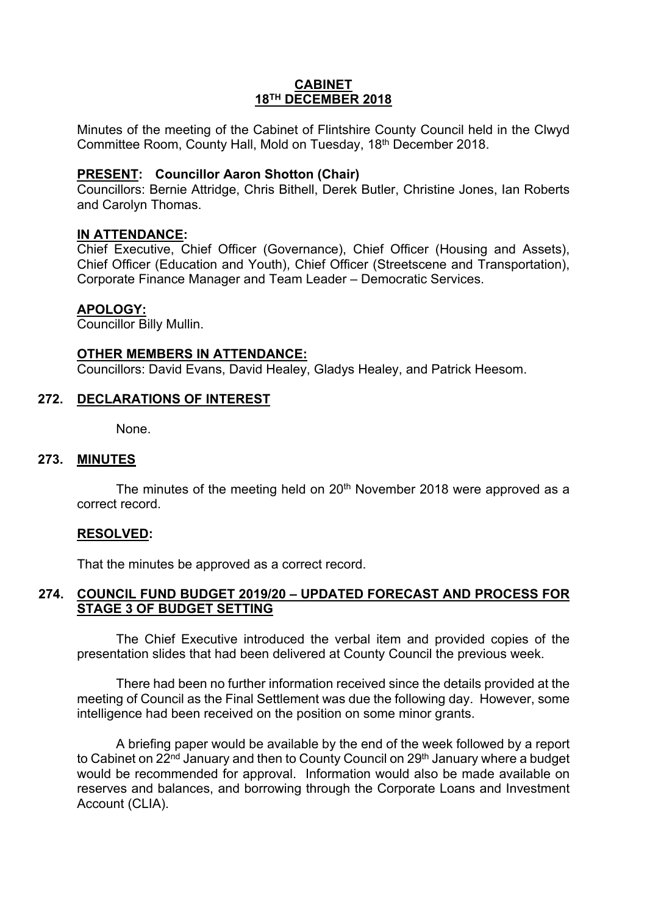### **CABINET 18TH DECEMBER 2018**

Minutes of the meeting of the Cabinet of Flintshire County Council held in the Clwyd Committee Room, County Hall, Mold on Tuesday, 18th December 2018.

## **PRESENT: Councillor Aaron Shotton (Chair)**

Councillors: Bernie Attridge, Chris Bithell, Derek Butler, Christine Jones, Ian Roberts and Carolyn Thomas.

## **IN ATTENDANCE:**

Chief Executive, Chief Officer (Governance), Chief Officer (Housing and Assets), Chief Officer (Education and Youth), Chief Officer (Streetscene and Transportation), Corporate Finance Manager and Team Leader – Democratic Services.

### **APOLOGY:**

Councillor Billy Mullin.

### **OTHER MEMBERS IN ATTENDANCE:**

Councillors: David Evans, David Healey, Gladys Healey, and Patrick Heesom.

## **272. DECLARATIONS OF INTEREST**

None.

### **273. MINUTES**

The minutes of the meeting held on 20<sup>th</sup> November 2018 were approved as a correct record.

### **RESOLVED:**

That the minutes be approved as a correct record.

## **274. COUNCIL FUND BUDGET 2019/20 – UPDATED FORECAST AND PROCESS FOR STAGE 3 OF BUDGET SETTING**

The Chief Executive introduced the verbal item and provided copies of the presentation slides that had been delivered at County Council the previous week.

There had been no further information received since the details provided at the meeting of Council as the Final Settlement was due the following day. However, some intelligence had been received on the position on some minor grants.

A briefing paper would be available by the end of the week followed by a report to Cabinet on 22<sup>nd</sup> January and then to County Council on 29<sup>th</sup> January where a budget would be recommended for approval. Information would also be made available on reserves and balances, and borrowing through the Corporate Loans and Investment Account (CLIA).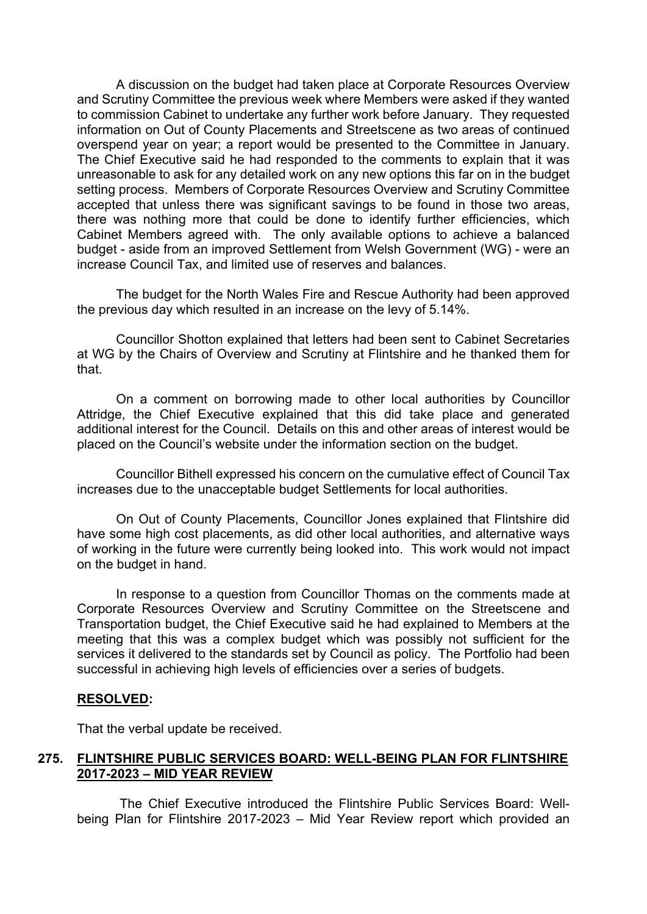A discussion on the budget had taken place at Corporate Resources Overview and Scrutiny Committee the previous week where Members were asked if they wanted to commission Cabinet to undertake any further work before January. They requested information on Out of County Placements and Streetscene as two areas of continued overspend year on year; a report would be presented to the Committee in January. The Chief Executive said he had responded to the comments to explain that it was unreasonable to ask for any detailed work on any new options this far on in the budget setting process. Members of Corporate Resources Overview and Scrutiny Committee accepted that unless there was significant savings to be found in those two areas, there was nothing more that could be done to identify further efficiencies, which Cabinet Members agreed with. The only available options to achieve a balanced budget - aside from an improved Settlement from Welsh Government (WG) - were an increase Council Tax, and limited use of reserves and balances.

The budget for the North Wales Fire and Rescue Authority had been approved the previous day which resulted in an increase on the levy of 5.14%.

Councillor Shotton explained that letters had been sent to Cabinet Secretaries at WG by the Chairs of Overview and Scrutiny at Flintshire and he thanked them for that.

On a comment on borrowing made to other local authorities by Councillor Attridge, the Chief Executive explained that this did take place and generated additional interest for the Council. Details on this and other areas of interest would be placed on the Council's website under the information section on the budget.

Councillor Bithell expressed his concern on the cumulative effect of Council Tax increases due to the unacceptable budget Settlements for local authorities.

On Out of County Placements, Councillor Jones explained that Flintshire did have some high cost placements, as did other local authorities, and alternative ways of working in the future were currently being looked into. This work would not impact on the budget in hand.

In response to a question from Councillor Thomas on the comments made at Corporate Resources Overview and Scrutiny Committee on the Streetscene and Transportation budget, the Chief Executive said he had explained to Members at the meeting that this was a complex budget which was possibly not sufficient for the services it delivered to the standards set by Council as policy. The Portfolio had been successful in achieving high levels of efficiencies over a series of budgets.

### **RESOLVED:**

That the verbal update be received.

## **275. FLINTSHIRE PUBLIC SERVICES BOARD: WELL-BEING PLAN FOR FLINTSHIRE 2017-2023 – MID YEAR REVIEW**

The Chief Executive introduced the Flintshire Public Services Board: Wellbeing Plan for Flintshire 2017-2023 – Mid Year Review report which provided an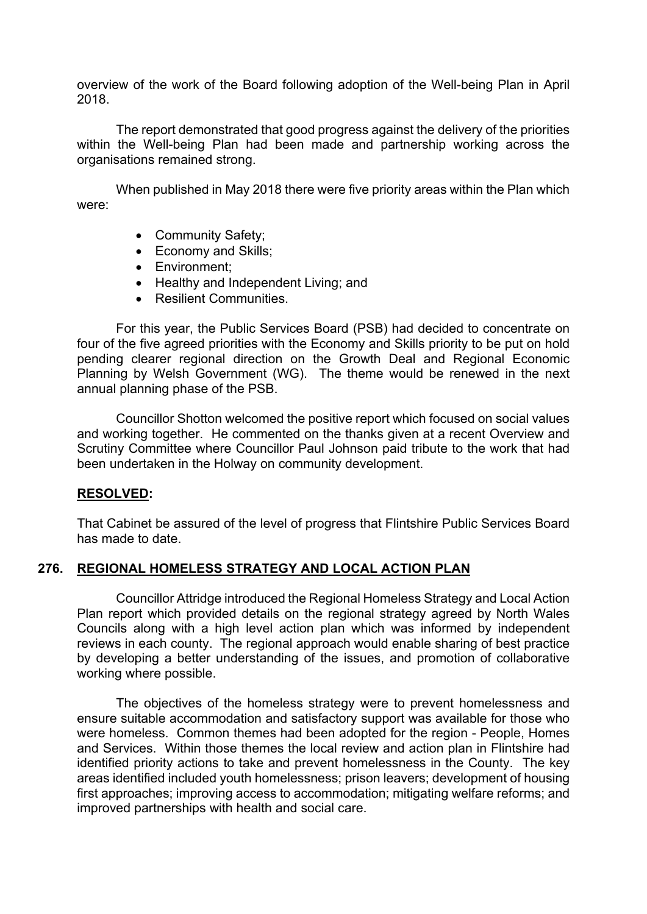overview of the work of the Board following adoption of the Well-being Plan in April 2018.

The report demonstrated that good progress against the delivery of the priorities within the Well-being Plan had been made and partnership working across the organisations remained strong.

When published in May 2018 there were five priority areas within the Plan which were:

- Community Safety;
- Economy and Skills;
- Environment;
- Healthy and Independent Living; and
- Resilient Communities.

For this year, the Public Services Board (PSB) had decided to concentrate on four of the five agreed priorities with the Economy and Skills priority to be put on hold pending clearer regional direction on the Growth Deal and Regional Economic Planning by Welsh Government (WG). The theme would be renewed in the next annual planning phase of the PSB.

Councillor Shotton welcomed the positive report which focused on social values and working together. He commented on the thanks given at a recent Overview and Scrutiny Committee where Councillor Paul Johnson paid tribute to the work that had been undertaken in the Holway on community development.

## **RESOLVED:**

That Cabinet be assured of the level of progress that Flintshire Public Services Board has made to date.

## **276. REGIONAL HOMELESS STRATEGY AND LOCAL ACTION PLAN**

Councillor Attridge introduced the Regional Homeless Strategy and Local Action Plan report which provided details on the regional strategy agreed by North Wales Councils along with a high level action plan which was informed by independent reviews in each county. The regional approach would enable sharing of best practice by developing a better understanding of the issues, and promotion of collaborative working where possible.

The objectives of the homeless strategy were to prevent homelessness and ensure suitable accommodation and satisfactory support was available for those who were homeless. Common themes had been adopted for the region - People, Homes and Services. Within those themes the local review and action plan in Flintshire had identified priority actions to take and prevent homelessness in the County. The key areas identified included youth homelessness; prison leavers; development of housing first approaches; improving access to accommodation; mitigating welfare reforms; and improved partnerships with health and social care.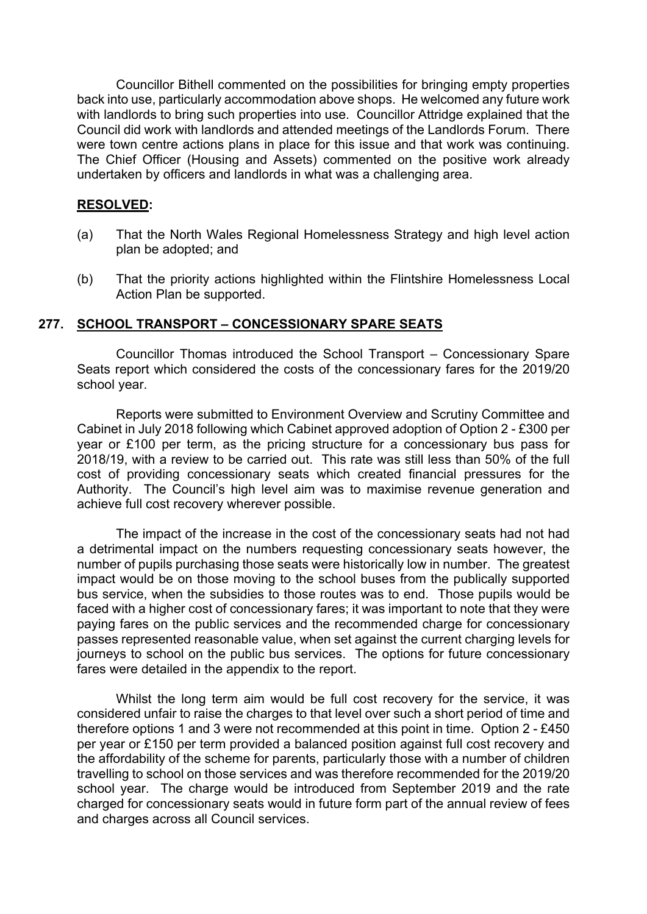Councillor Bithell commented on the possibilities for bringing empty properties back into use, particularly accommodation above shops. He welcomed any future work with landlords to bring such properties into use. Councillor Attridge explained that the Council did work with landlords and attended meetings of the Landlords Forum. There were town centre actions plans in place for this issue and that work was continuing. The Chief Officer (Housing and Assets) commented on the positive work already undertaken by officers and landlords in what was a challenging area.

## **RESOLVED:**

- (a) That the North Wales Regional Homelessness Strategy and high level action plan be adopted; and
- (b) That the priority actions highlighted within the Flintshire Homelessness Local Action Plan be supported.

### **277. SCHOOL TRANSPORT – CONCESSIONARY SPARE SEATS**

Councillor Thomas introduced the School Transport – Concessionary Spare Seats report which considered the costs of the concessionary fares for the 2019/20 school year.

Reports were submitted to Environment Overview and Scrutiny Committee and Cabinet in July 2018 following which Cabinet approved adoption of Option 2 - £300 per year or £100 per term, as the pricing structure for a concessionary bus pass for 2018/19, with a review to be carried out. This rate was still less than 50% of the full cost of providing concessionary seats which created financial pressures for the Authority. The Council's high level aim was to maximise revenue generation and achieve full cost recovery wherever possible.

The impact of the increase in the cost of the concessionary seats had not had a detrimental impact on the numbers requesting concessionary seats however, the number of pupils purchasing those seats were historically low in number. The greatest impact would be on those moving to the school buses from the publically supported bus service, when the subsidies to those routes was to end. Those pupils would be faced with a higher cost of concessionary fares; it was important to note that they were paying fares on the public services and the recommended charge for concessionary passes represented reasonable value, when set against the current charging levels for journeys to school on the public bus services. The options for future concessionary fares were detailed in the appendix to the report.

Whilst the long term aim would be full cost recovery for the service, it was considered unfair to raise the charges to that level over such a short period of time and therefore options 1 and 3 were not recommended at this point in time. Option 2 - £450 per year or £150 per term provided a balanced position against full cost recovery and the affordability of the scheme for parents, particularly those with a number of children travelling to school on those services and was therefore recommended for the 2019/20 school year. The charge would be introduced from September 2019 and the rate charged for concessionary seats would in future form part of the annual review of fees and charges across all Council services.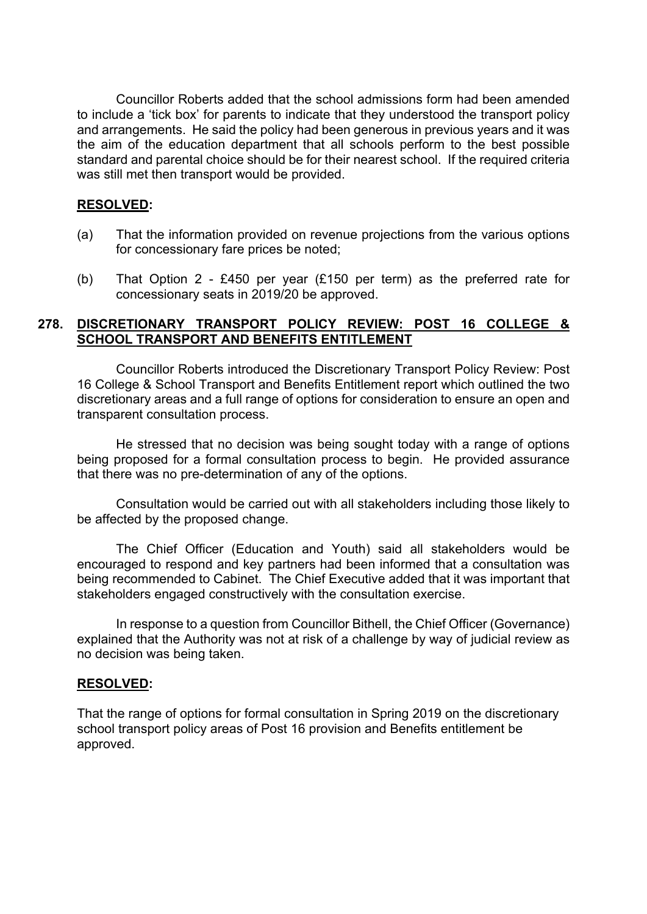Councillor Roberts added that the school admissions form had been amended to include a 'tick box' for parents to indicate that they understood the transport policy and arrangements. He said the policy had been generous in previous years and it was the aim of the education department that all schools perform to the best possible standard and parental choice should be for their nearest school. If the required criteria was still met then transport would be provided.

## **RESOLVED:**

- (a) That the information provided on revenue projections from the various options for concessionary fare prices be noted;
- (b) That Option 2 £450 per year (£150 per term) as the preferred rate for concessionary seats in 2019/20 be approved.

## **278. DISCRETIONARY TRANSPORT POLICY REVIEW: POST 16 COLLEGE & SCHOOL TRANSPORT AND BENEFITS ENTITLEMENT**

Councillor Roberts introduced the Discretionary Transport Policy Review: Post 16 College & School Transport and Benefits Entitlement report which outlined the two discretionary areas and a full range of options for consideration to ensure an open and transparent consultation process.

He stressed that no decision was being sought today with a range of options being proposed for a formal consultation process to begin. He provided assurance that there was no pre-determination of any of the options.

Consultation would be carried out with all stakeholders including those likely to be affected by the proposed change.

The Chief Officer (Education and Youth) said all stakeholders would be encouraged to respond and key partners had been informed that a consultation was being recommended to Cabinet. The Chief Executive added that it was important that stakeholders engaged constructively with the consultation exercise.

In response to a question from Councillor Bithell, the Chief Officer (Governance) explained that the Authority was not at risk of a challenge by way of judicial review as no decision was being taken.

### **RESOLVED:**

That the range of options for formal consultation in Spring 2019 on the discretionary school transport policy areas of Post 16 provision and Benefits entitlement be approved.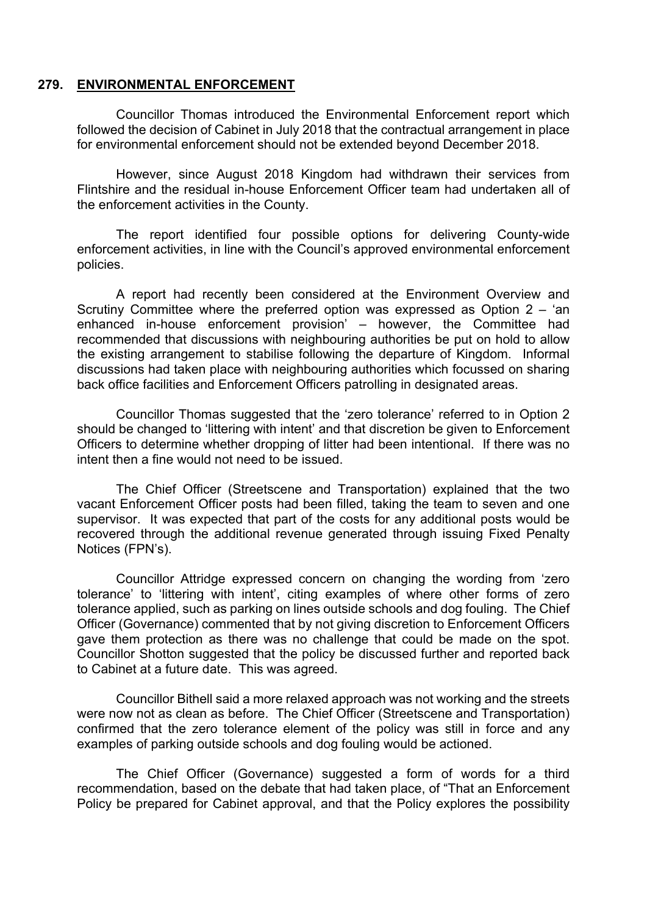### **279. ENVIRONMENTAL ENFORCEMENT**

Councillor Thomas introduced the Environmental Enforcement report which followed the decision of Cabinet in July 2018 that the contractual arrangement in place for environmental enforcement should not be extended beyond December 2018.

However, since August 2018 Kingdom had withdrawn their services from Flintshire and the residual in-house Enforcement Officer team had undertaken all of the enforcement activities in the County.

The report identified four possible options for delivering County-wide enforcement activities, in line with the Council's approved environmental enforcement policies.

A report had recently been considered at the Environment Overview and Scrutiny Committee where the preferred option was expressed as Option 2 – 'an enhanced in-house enforcement provision' – however, the Committee had recommended that discussions with neighbouring authorities be put on hold to allow the existing arrangement to stabilise following the departure of Kingdom. Informal discussions had taken place with neighbouring authorities which focussed on sharing back office facilities and Enforcement Officers patrolling in designated areas.

Councillor Thomas suggested that the 'zero tolerance' referred to in Option 2 should be changed to 'littering with intent' and that discretion be given to Enforcement Officers to determine whether dropping of litter had been intentional. If there was no intent then a fine would not need to be issued.

The Chief Officer (Streetscene and Transportation) explained that the two vacant Enforcement Officer posts had been filled, taking the team to seven and one supervisor. It was expected that part of the costs for any additional posts would be recovered through the additional revenue generated through issuing Fixed Penalty Notices (FPN's).

Councillor Attridge expressed concern on changing the wording from 'zero tolerance' to 'littering with intent', citing examples of where other forms of zero tolerance applied, such as parking on lines outside schools and dog fouling. The Chief Officer (Governance) commented that by not giving discretion to Enforcement Officers gave them protection as there was no challenge that could be made on the spot. Councillor Shotton suggested that the policy be discussed further and reported back to Cabinet at a future date. This was agreed.

Councillor Bithell said a more relaxed approach was not working and the streets were now not as clean as before. The Chief Officer (Streetscene and Transportation) confirmed that the zero tolerance element of the policy was still in force and any examples of parking outside schools and dog fouling would be actioned.

The Chief Officer (Governance) suggested a form of words for a third recommendation, based on the debate that had taken place, of "That an Enforcement Policy be prepared for Cabinet approval, and that the Policy explores the possibility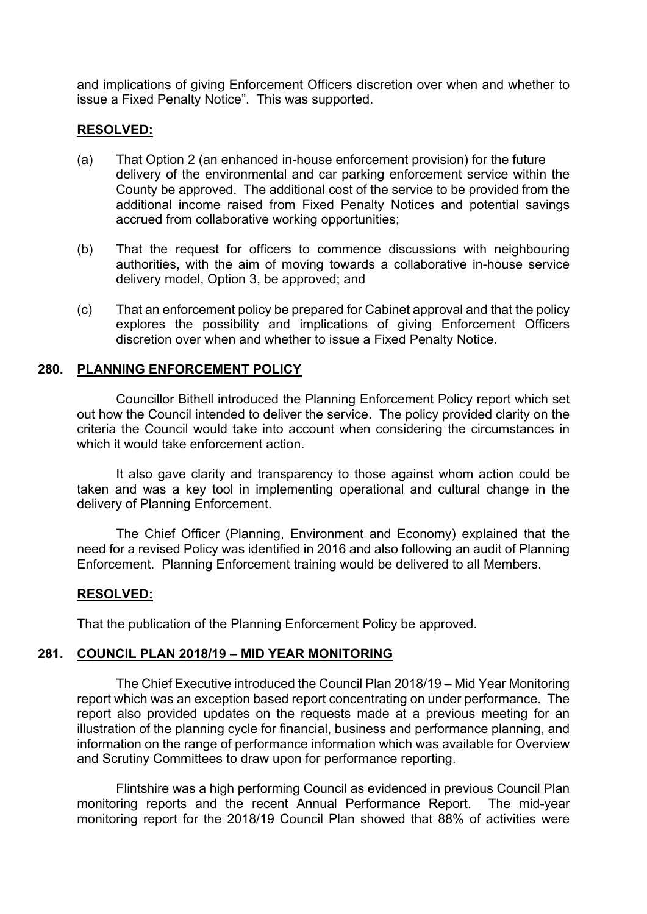and implications of giving Enforcement Officers discretion over when and whether to issue a Fixed Penalty Notice". This was supported.

### **RESOLVED:**

- (a) That Option 2 (an enhanced in-house enforcement provision) for the future delivery of the environmental and car parking enforcement service within the County be approved. The additional cost of the service to be provided from the additional income raised from Fixed Penalty Notices and potential savings accrued from collaborative working opportunities;
- (b) That the request for officers to commence discussions with neighbouring authorities, with the aim of moving towards a collaborative in-house service delivery model, Option 3, be approved; and
- (c) That an enforcement policy be prepared for Cabinet approval and that the policy explores the possibility and implications of giving Enforcement Officers discretion over when and whether to issue a Fixed Penalty Notice.

### **280. PLANNING ENFORCEMENT POLICY**

Councillor Bithell introduced the Planning Enforcement Policy report which set out how the Council intended to deliver the service. The policy provided clarity on the criteria the Council would take into account when considering the circumstances in which it would take enforcement action.

It also gave clarity and transparency to those against whom action could be taken and was a key tool in implementing operational and cultural change in the delivery of Planning Enforcement.

The Chief Officer (Planning, Environment and Economy) explained that the need for a revised Policy was identified in 2016 and also following an audit of Planning Enforcement. Planning Enforcement training would be delivered to all Members.

## **RESOLVED:**

That the publication of the Planning Enforcement Policy be approved.

### **281. COUNCIL PLAN 2018/19 – MID YEAR MONITORING**

The Chief Executive introduced the Council Plan 2018/19 – Mid Year Monitoring report which was an exception based report concentrating on under performance. The report also provided updates on the requests made at a previous meeting for an illustration of the planning cycle for financial, business and performance planning, and information on the range of performance information which was available for Overview and Scrutiny Committees to draw upon for performance reporting.

Flintshire was a high performing Council as evidenced in previous Council Plan monitoring reports and the recent Annual Performance Report. The mid-year monitoring report for the 2018/19 Council Plan showed that 88% of activities were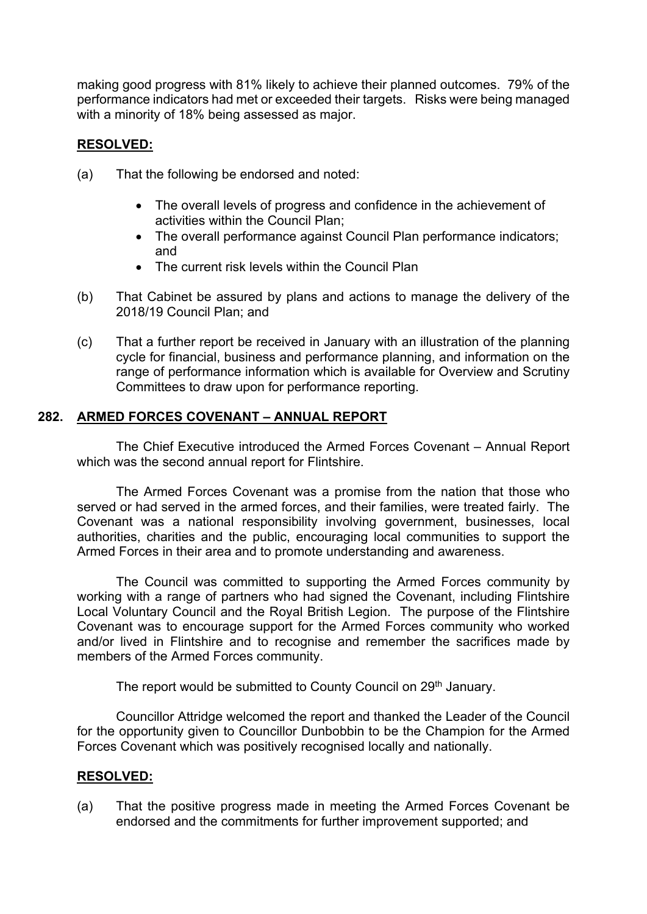making good progress with 81% likely to achieve their planned outcomes. 79% of the performance indicators had met or exceeded their targets. Risks were being managed with a minority of 18% being assessed as major.

# **RESOLVED:**

- (a) That the following be endorsed and noted:
	- The overall levels of progress and confidence in the achievement of activities within the Council Plan;
	- The overall performance against Council Plan performance indicators; and
	- The current risk levels within the Council Plan
- (b) That Cabinet be assured by plans and actions to manage the delivery of the 2018/19 Council Plan; and
- (c) That a further report be received in January with an illustration of the planning cycle for financial, business and performance planning, and information on the range of performance information which is available for Overview and Scrutiny Committees to draw upon for performance reporting.

## **282. ARMED FORCES COVENANT – ANNUAL REPORT**

The Chief Executive introduced the Armed Forces Covenant – Annual Report which was the second annual report for Flintshire.

The Armed Forces Covenant was a promise from the nation that those who served or had served in the armed forces, and their families, were treated fairly. The Covenant was a national responsibility involving government, businesses, local authorities, charities and the public, encouraging local communities to support the Armed Forces in their area and to promote understanding and awareness.

The Council was committed to supporting the Armed Forces community by working with a range of partners who had signed the Covenant, including Flintshire Local Voluntary Council and the Royal British Legion. The purpose of the Flintshire Covenant was to encourage support for the Armed Forces community who worked and/or lived in Flintshire and to recognise and remember the sacrifices made by members of the Armed Forces community.

The report would be submitted to County Council on 29<sup>th</sup> January.

Councillor Attridge welcomed the report and thanked the Leader of the Council for the opportunity given to Councillor Dunbobbin to be the Champion for the Armed Forces Covenant which was positively recognised locally and nationally.

## **RESOLVED:**

(a) That the positive progress made in meeting the Armed Forces Covenant be endorsed and the commitments for further improvement supported; and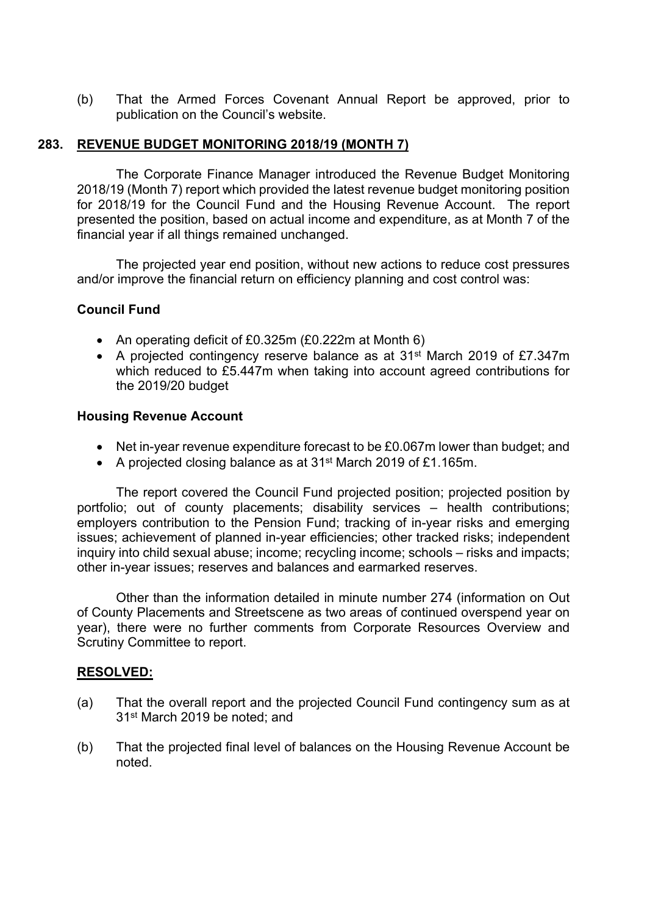(b) That the Armed Forces Covenant Annual Report be approved, prior to publication on the Council's website.

## **283. REVENUE BUDGET MONITORING 2018/19 (MONTH 7)**

The Corporate Finance Manager introduced the Revenue Budget Monitoring 2018/19 (Month 7) report which provided the latest revenue budget monitoring position for 2018/19 for the Council Fund and the Housing Revenue Account. The report presented the position, based on actual income and expenditure, as at Month 7 of the financial year if all things remained unchanged.

The projected year end position, without new actions to reduce cost pressures and/or improve the financial return on efficiency planning and cost control was:

# **Council Fund**

- An operating deficit of £0.325m (£0.222m at Month 6)
- A projected contingency reserve balance as at 31st March 2019 of £7.347m which reduced to £5.447m when taking into account agreed contributions for the 2019/20 budget

## **Housing Revenue Account**

- Net in-year revenue expenditure forecast to be £0.067m lower than budget; and
- A projected closing balance as at 31<sup>st</sup> March 2019 of £1.165m.

The report covered the Council Fund projected position; projected position by portfolio; out of county placements; disability services – health contributions; employers contribution to the Pension Fund; tracking of in-year risks and emerging issues; achievement of planned in-year efficiencies; other tracked risks; independent inquiry into child sexual abuse; income; recycling income; schools – risks and impacts; other in-year issues; reserves and balances and earmarked reserves.

Other than the information detailed in minute number 274 (information on Out of County Placements and Streetscene as two areas of continued overspend year on year), there were no further comments from Corporate Resources Overview and Scrutiny Committee to report.

## **RESOLVED:**

- (a) That the overall report and the projected Council Fund contingency sum as at 31st March 2019 be noted; and
- (b) That the projected final level of balances on the Housing Revenue Account be noted.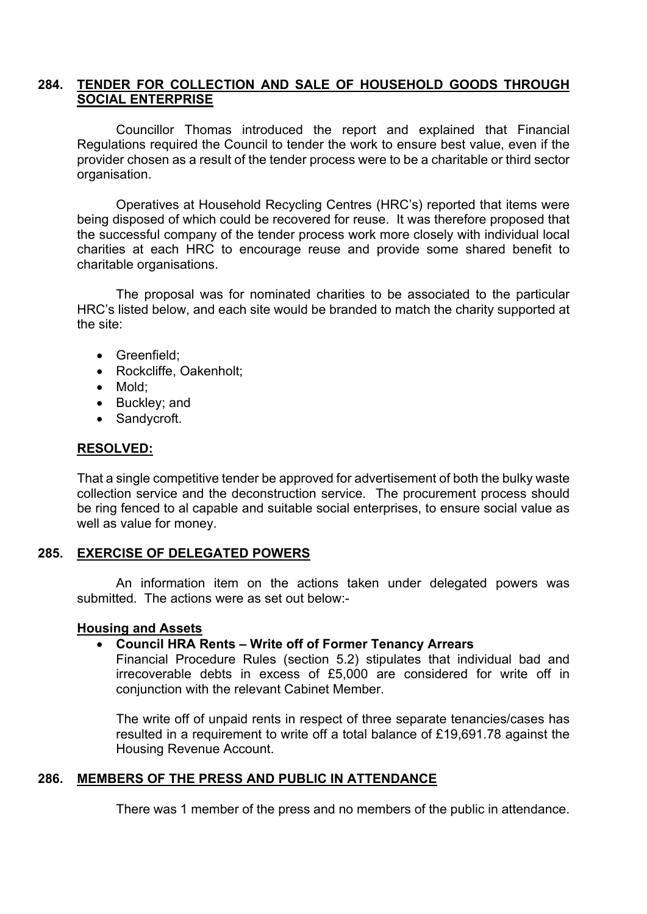## **284. TENDER FOR COLLECTION AND SALE OF HOUSEHOLD GOODS THROUGH SOCIAL ENTERPRISE**

Councillor Thomas introduced the report and explained that Financial Regulations required the Council to tender the work to ensure best value, even if the provider chosen as a result of the tender process were to be a charitable or third sector organisation.

Operatives at Household Recycling Centres (HRC's) reported that items were being disposed of which could be recovered for reuse. It was therefore proposed that the successful company of the tender process work more closely with individual local charities at each HRC to encourage reuse and provide some shared benefit to charitable organisations.

The proposal was for nominated charities to be associated to the particular HRC's listed below, and each site would be branded to match the charity supported at the site:

- Greenfield:
- Rockcliffe, Oakenholt:
- Mold:
- Buckley: and
- Sandycroft.

## **RESOLVED:**

That a single competitive tender be approved for advertisement of both the bulky waste collection service and the deconstruction service. The procurement process should be ring fenced to al capable and suitable social enterprises, to ensure social value as well as value for money.

## **285. EXERCISE OF DELEGATED POWERS**

An information item on the actions taken under delegated powers was submitted. The actions were as set out below:-

## **Housing and Assets**

## **Council HRA Rents – Write off of Former Tenancy Arrears**

Financial Procedure Rules (section 5.2) stipulates that individual bad and irrecoverable debts in excess of £5,000 are considered for write off in conjunction with the relevant Cabinet Member.

The write off of unpaid rents in respect of three separate tenancies/cases has resulted in a requirement to write off a total balance of £19,691.78 against the Housing Revenue Account.

# **286. MEMBERS OF THE PRESS AND PUBLIC IN ATTENDANCE**

There was 1 member of the press and no members of the public in attendance.